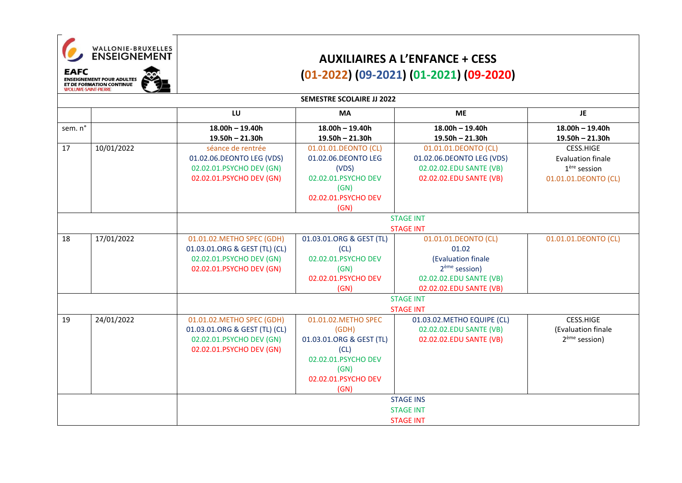## **AUXILIAIRES A L'ENFANCE + CESS (01-2022) (09-2021) (01-2021) (09-2020)**

|                  | <b>SEMESTRE SCOLAIRE JJ 2022</b> |                               |                          |                             |                           |  |
|------------------|----------------------------------|-------------------------------|--------------------------|-----------------------------|---------------------------|--|
|                  |                                  | LU                            | <b>MA</b>                | <b>ME</b>                   | JE.                       |  |
| sem. n°          |                                  | $18.00h - 19.40h$             | $18.00h - 19.40h$        | $18.00h - 19.40h$           | $18.00h - 19.40h$         |  |
|                  |                                  | $19.50h - 21.30h$             | $19.50h - 21.30h$        | $19.50h - 21.30h$           | $19.50h - 21.30h$         |  |
| 17               | 10/01/2022                       | séance de rentrée             | 01.01.01.DEONTO (CL)     | 01.01.01.DEONTO (CL)        | CESS.HIGE                 |  |
|                  |                                  | 01.02.06.DEONTO LEG (VDS)     | 01.02.06.DEONTO LEG      | 01.02.06.DEONTO LEG (VDS)   | <b>Evaluation finale</b>  |  |
|                  |                                  | 02.02.01.PSYCHO DEV (GN)      | (VDS)                    | 02.02.02.EDU SANTE (VB)     | 1 <sup>ère</sup> session  |  |
|                  |                                  | 02.02.01.PSYCHO DEV (GN)      | 02.02.01.PSYCHO DEV      | 02.02.02.EDU SANTE (VB)     | 01.01.01.DEONTO (CL)      |  |
|                  |                                  |                               | (GN)                     |                             |                           |  |
|                  |                                  |                               | 02.02.01.PSYCHO DEV      |                             |                           |  |
|                  |                                  |                               | (GN)                     |                             |                           |  |
|                  |                                  |                               |                          | <b>STAGE INT</b>            |                           |  |
|                  |                                  |                               |                          | <b>STAGE INT</b>            |                           |  |
| 18               | 17/01/2022                       | 01.01.02. METHO SPEC (GDH)    | 01.03.01.ORG & GEST (TL) | 01.01.01.DEONTO (CL)        | 01.01.01.DEONTO (CL)      |  |
|                  |                                  | 01.03.01.ORG & GEST (TL) (CL) | (CL)                     | 01.02                       |                           |  |
|                  |                                  | 02.02.01.PSYCHO DEV (GN)      | 02.02.01.PSYCHO DEV      | (Evaluation finale          |                           |  |
|                  |                                  | 02.02.01.PSYCHO DEV (GN)      | (GN)                     | 2 <sup>ème</sup> session)   |                           |  |
|                  |                                  |                               | 02.02.01.PSYCHO DEV      | 02.02.02.EDU SANTE (VB)     |                           |  |
|                  |                                  |                               | (GN)                     | 02.02.02.EDU SANTE (VB)     |                           |  |
| <b>STAGE INT</b> |                                  |                               |                          |                             |                           |  |
|                  |                                  |                               |                          | <b>STAGE INT</b>            |                           |  |
| 19               | 24/01/2022                       | 01.01.02. METHO SPEC (GDH)    | 01.01.02.METHO SPEC      | 01.03.02. METHO EQUIPE (CL) | CESS.HIGE                 |  |
|                  |                                  | 01.03.01.ORG & GEST (TL) (CL) | (GDH)                    | 02.02.02.EDU SANTE (VB)     | (Evaluation finale        |  |
|                  |                                  | 02.02.01.PSYCHO DEV (GN)      | 01.03.01.ORG & GEST (TL) | 02.02.02.EDU SANTE (VB)     | 2 <sup>ème</sup> session) |  |
|                  |                                  | 02.02.01.PSYCHO DEV (GN)      | (CL)                     |                             |                           |  |
|                  |                                  |                               | 02.02.01.PSYCHO DEV      |                             |                           |  |
|                  |                                  |                               | (GN)                     |                             |                           |  |
|                  |                                  |                               | 02.02.01.PSYCHO DEV      |                             |                           |  |
|                  |                                  |                               | (GN)                     |                             |                           |  |
|                  |                                  |                               |                          | <b>STAGE INS</b>            |                           |  |
|                  |                                  |                               |                          | <b>STAGE INT</b>            |                           |  |
|                  |                                  |                               |                          | <b>STAGE INT</b>            |                           |  |



 $\tilde{\phantom{a}}$ 

**EAFC**<br>ENSEIGNEMENT POUR ADULTES<br>ET DE FORMATION CONTINUE<br>WOLUWE-SAINT-PIERRE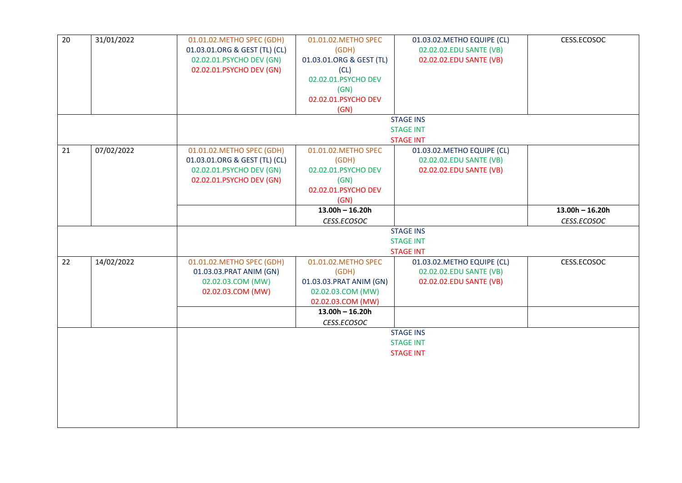| $\overline{20}$ | 31/01/2022 | 01.01.02. METHO SPEC (GDH)    | 01.01.02.METHO SPEC      | 01.03.02. METHO EQUIPE (CL) | CESS.ECOSOC       |
|-----------------|------------|-------------------------------|--------------------------|-----------------------------|-------------------|
|                 |            | 01.03.01.ORG & GEST (TL) (CL) | (GDH)                    | 02.02.02.EDU SANTE (VB)     |                   |
|                 |            | 02.02.01.PSYCHO DEV (GN)      | 01.03.01.0RG & GEST (TL) | 02.02.02.EDU SANTE (VB)     |                   |
|                 |            | 02.02.01.PSYCHO DEV (GN)      | (CL)                     |                             |                   |
|                 |            |                               | 02.02.01.PSYCHO DEV      |                             |                   |
|                 |            |                               | (GN)                     |                             |                   |
|                 |            |                               | 02.02.01.PSYCHO DEV      |                             |                   |
|                 |            |                               | (GN)                     |                             |                   |
|                 |            |                               |                          | <b>STAGE INS</b>            |                   |
|                 |            |                               |                          | <b>STAGE INT</b>            |                   |
|                 |            |                               |                          | <b>STAGE INT</b>            |                   |
| 21              | 07/02/2022 | 01.01.02. METHO SPEC (GDH)    | 01.01.02.METHO SPEC      | 01.03.02. METHO EQUIPE (CL) |                   |
|                 |            | 01.03.01.ORG & GEST (TL) (CL) | (GDH)                    | 02.02.02.EDU SANTE (VB)     |                   |
|                 |            | 02.02.01.PSYCHO DEV (GN)      | 02.02.01.PSYCHO DEV      | 02.02.02.EDU SANTE (VB)     |                   |
|                 |            | 02.02.01.PSYCHO DEV (GN)      | (GN)                     |                             |                   |
|                 |            |                               | 02.02.01.PSYCHO DEV      |                             |                   |
|                 |            |                               | (GN)                     |                             |                   |
|                 |            |                               | $13.00h - 16.20h$        |                             | $13.00h - 16.20h$ |
|                 |            |                               | CESS.ECOSOC              |                             | CESS.ECOSOC       |
|                 |            |                               |                          | <b>STAGE INS</b>            |                   |
|                 |            |                               |                          | <b>STAGE INT</b>            |                   |
|                 |            |                               |                          | <b>STAGE INT</b>            |                   |
| 22              | 14/02/2022 | 01.01.02. METHO SPEC (GDH)    | 01.01.02. METHO SPEC     | 01.03.02. METHO EQUIPE (CL) | CESS.ECOSOC       |
|                 |            | 01.03.03. PRAT ANIM (GN)      | (GDH)                    | 02.02.02.EDU SANTE (VB)     |                   |
|                 |            | 02.02.03.COM (MW)             | 01.03.03. PRAT ANIM (GN) | 02.02.02.EDU SANTE (VB)     |                   |
|                 |            | 02.02.03.COM (MW)             | 02.02.03.COM (MW)        |                             |                   |
|                 |            |                               | 02.02.03.COM (MW)        |                             |                   |
|                 |            |                               | $13.00h - 16.20h$        |                             |                   |
|                 |            |                               | CESS.ECOSOC              |                             |                   |
|                 |            |                               |                          | <b>STAGE INS</b>            |                   |
|                 |            |                               |                          | <b>STAGE INT</b>            |                   |
|                 |            |                               |                          | <b>STAGE INT</b>            |                   |
|                 |            |                               |                          |                             |                   |
|                 |            |                               |                          |                             |                   |
|                 |            |                               |                          |                             |                   |
|                 |            |                               |                          |                             |                   |
|                 |            |                               |                          |                             |                   |
|                 |            |                               |                          |                             |                   |
|                 |            |                               |                          |                             |                   |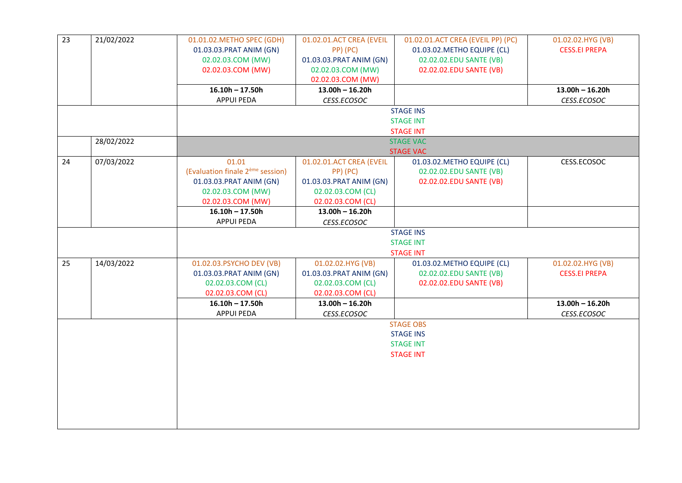| $\overline{23}$  | 21/02/2022       | 01.01.02. METHO SPEC (GDH)                   | 01.02.01.ACT CREA (EVEIL | 01.02.01.ACT CREA (EVEIL PP) (PC) | 01.02.02.HYG (VB)    |  |  |
|------------------|------------------|----------------------------------------------|--------------------------|-----------------------------------|----------------------|--|--|
|                  |                  | 01.03.03. PRAT ANIM (GN)                     | PP) (PC)                 | 01.03.02. METHO EQUIPE (CL)       | <b>CESS.EI PREPA</b> |  |  |
|                  |                  | 02.02.03.COM (MW)                            | 01.03.03. PRAT ANIM (GN) | 02.02.02.EDU SANTE (VB)           |                      |  |  |
|                  |                  | 02.02.03.COM (MW)                            | 02.02.03.COM (MW)        | 02.02.02.EDU SANTE (VB)           |                      |  |  |
|                  |                  |                                              | 02.02.03.COM (MW)        |                                   |                      |  |  |
|                  |                  | $16.10h - 17.50h$                            | $13.00h - 16.20h$        |                                   | $13.00h - 16.20h$    |  |  |
|                  |                  | <b>APPUI PEDA</b>                            | CESS.ECOSOC              |                                   | CESS.ECOSOC          |  |  |
|                  |                  |                                              |                          | <b>STAGE INS</b>                  |                      |  |  |
|                  |                  |                                              |                          | <b>STAGE INT</b>                  |                      |  |  |
|                  |                  |                                              |                          | <b>STAGE INT</b>                  |                      |  |  |
|                  | 28/02/2022       |                                              |                          | <b>STAGE VAC</b>                  |                      |  |  |
|                  |                  |                                              |                          | <b>STAGE VAC</b>                  |                      |  |  |
| 24               | 07/03/2022       | 01.01                                        | 01.02.01.ACT CREA (EVEIL | 01.03.02.METHO EQUIPE (CL)        | CESS.ECOSOC          |  |  |
|                  |                  | (Evaluation finale 2 <sup>ème</sup> session) | PP) (PC)                 | 02.02.02.EDU SANTE (VB)           |                      |  |  |
|                  |                  | 01.03.03. PRAT ANIM (GN)                     | 01.03.03. PRAT ANIM (GN) | 02.02.02.EDU SANTE (VB)           |                      |  |  |
|                  |                  | 02.02.03.COM (MW)                            | 02.02.03.COM (CL)        |                                   |                      |  |  |
|                  |                  | 02.02.03.COM (MW)                            | 02.02.03.COM (CL)        |                                   |                      |  |  |
|                  |                  | $16.10h - 17.50h$                            | $13.00h - 16.20h$        |                                   |                      |  |  |
|                  |                  | APPUI PEDA                                   | CESS.ECOSOC              |                                   |                      |  |  |
|                  |                  | <b>STAGE INS</b>                             |                          |                                   |                      |  |  |
|                  | <b>STAGE INT</b> |                                              |                          |                                   |                      |  |  |
|                  |                  |                                              |                          | <b>STAGE INT</b>                  |                      |  |  |
| 25               | 14/03/2022       | 01.02.03.PSYCHO DEV (VB)                     | 01.02.02.HYG (VB)        | 01.03.02. METHO EQUIPE (CL)       | 01.02.02.HYG (VB)    |  |  |
|                  |                  | 01.03.03. PRAT ANIM (GN)                     | 01.03.03. PRAT ANIM (GN) | 02.02.02.EDU SANTE (VB)           | <b>CESS.EI PREPA</b> |  |  |
|                  |                  | 02.02.03.COM (CL)                            | 02.02.03.COM (CL)        | 02.02.02.EDU SANTE (VB)           |                      |  |  |
|                  |                  | 02.02.03.COM (CL)                            | 02.02.03.COM (CL)        |                                   |                      |  |  |
|                  |                  | $16.10h - 17.50h$                            | $13.00h - 16.20h$        |                                   | $13.00h - 16.20h$    |  |  |
|                  |                  | APPUI PEDA                                   | CESS.ECOSOC              |                                   | CESS.ECOSOC          |  |  |
|                  |                  |                                              |                          | <b>STAGE OBS</b>                  |                      |  |  |
|                  |                  |                                              |                          | <b>STAGE INS</b>                  |                      |  |  |
|                  |                  |                                              | <b>STAGE INT</b>         |                                   |                      |  |  |
| <b>STAGE INT</b> |                  |                                              |                          |                                   |                      |  |  |
|                  |                  |                                              |                          |                                   |                      |  |  |
|                  |                  |                                              |                          |                                   |                      |  |  |
|                  |                  |                                              |                          |                                   |                      |  |  |
|                  |                  |                                              |                          |                                   |                      |  |  |
|                  |                  |                                              |                          |                                   |                      |  |  |
|                  |                  |                                              |                          |                                   |                      |  |  |
|                  |                  |                                              |                          |                                   |                      |  |  |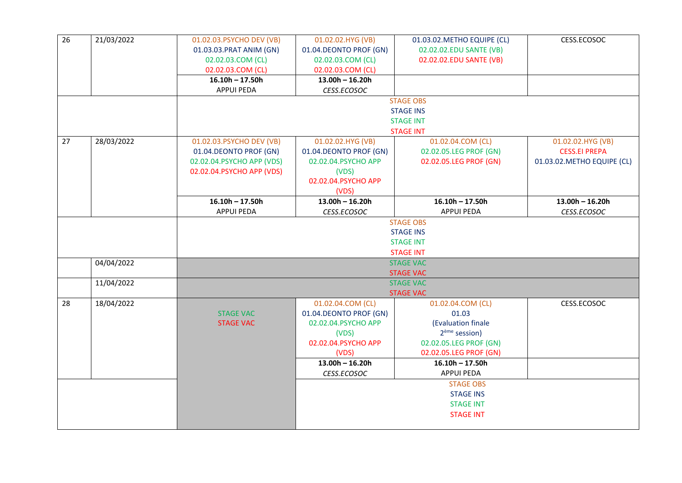| 26 | 21/03/2022 | 01.02.03. PSYCHO DEV (VB)  | 01.02.02.HYG (VB)      | 01.03.02.METHO EQUIPE (CL) | CESS.ECOSOC                 |  |
|----|------------|----------------------------|------------------------|----------------------------|-----------------------------|--|
|    |            | 01.03.03. PRAT ANIM (GN)   | 01.04.DEONTO PROF (GN) | 02.02.02.EDU SANTE (VB)    |                             |  |
|    |            | 02.02.03.COM (CL)          | 02.02.03.COM (CL)      | 02.02.02.EDU SANTE (VB)    |                             |  |
|    |            | 02.02.03.COM (CL)          | 02.02.03.COM (CL)      |                            |                             |  |
|    |            | $16.10h - 17.50h$          | $13.00h - 16.20h$      |                            |                             |  |
|    |            | <b>APPUI PEDA</b>          | CESS.ECOSOC            |                            |                             |  |
|    |            |                            |                        | <b>STAGE OBS</b>           |                             |  |
|    |            |                            |                        | <b>STAGE INS</b>           |                             |  |
|    |            |                            |                        | <b>STAGE INT</b>           |                             |  |
|    |            |                            |                        | <b>STAGE INT</b>           |                             |  |
| 27 | 28/03/2022 | 01.02.03. PSYCHO DEV (VB)  | 01.02.02.HYG (VB)      | 01.02.04.COM (CL)          | 01.02.02.HYG (VB)           |  |
|    |            | 01.04.DEONTO PROF (GN)     | 01.04.DEONTO PROF (GN) | 02.02.05.LEG PROF (GN)     | <b>CESS.EI PREPA</b>        |  |
|    |            | 02.02.04.PSYCHO APP (VDS)  | 02.02.04.PSYCHO APP    | 02.02.05.LEG PROF (GN)     | 01.03.02. METHO EQUIPE (CL) |  |
|    |            | 02.02.04. PSYCHO APP (VDS) | (VDS)                  |                            |                             |  |
|    |            |                            | 02.02.04.PSYCHO APP    |                            |                             |  |
|    |            |                            | (VDS)                  |                            |                             |  |
|    |            | $16.10h - 17.50h$          | $13.00h - 16.20h$      | $16.10h - 17.50h$          | $13.00h - 16.20h$           |  |
|    |            | <b>APPUI PEDA</b>          | CESS.ECOSOC            | <b>APPUI PEDA</b>          | CESS.ECOSOC                 |  |
|    |            |                            |                        | <b>STAGE OBS</b>           |                             |  |
|    |            | <b>STAGE INS</b>           |                        |                            |                             |  |
|    |            | <b>STAGE INT</b>           |                        |                            |                             |  |
|    |            | <b>STAGE INT</b>           |                        |                            |                             |  |
|    | 04/04/2022 | <b>STAGE VAC</b>           |                        |                            |                             |  |
|    |            | <b>STAGE VAC</b>           |                        |                            |                             |  |
|    | 11/04/2022 | <b>STAGE VAC</b>           |                        |                            |                             |  |
|    |            |                            |                        | <b>STAGE VAC</b>           |                             |  |
| 28 | 18/04/2022 |                            | 01.02.04.COM (CL)      | 01.02.04.COM (CL)          | CESS.ECOSOC                 |  |
|    |            | <b>STAGE VAC</b>           | 01.04.DEONTO PROF (GN) | 01.03                      |                             |  |
|    |            | <b>STAGE VAC</b>           | 02.02.04.PSYCHO APP    | (Evaluation finale         |                             |  |
|    |            |                            | (VDS)                  | 2 <sup>ème</sup> session)  |                             |  |
|    |            |                            | 02.02.04.PSYCHO APP    | 02.02.05.LEG PROF (GN)     |                             |  |
|    |            |                            | (VDS)                  | 02.02.05.LEG PROF (GN)     |                             |  |
|    |            |                            | $13.00h - 16.20h$      | $16.10h - 17.50h$          |                             |  |
|    |            |                            | CESS.ECOSOC            | <b>APPUI PEDA</b>          |                             |  |
|    |            |                            |                        | <b>STAGE OBS</b>           |                             |  |
|    |            |                            | <b>STAGE INS</b>       |                            |                             |  |
|    |            |                            | <b>STAGE INT</b>       |                            |                             |  |
|    |            |                            |                        | <b>STAGE INT</b>           |                             |  |
|    |            |                            |                        |                            |                             |  |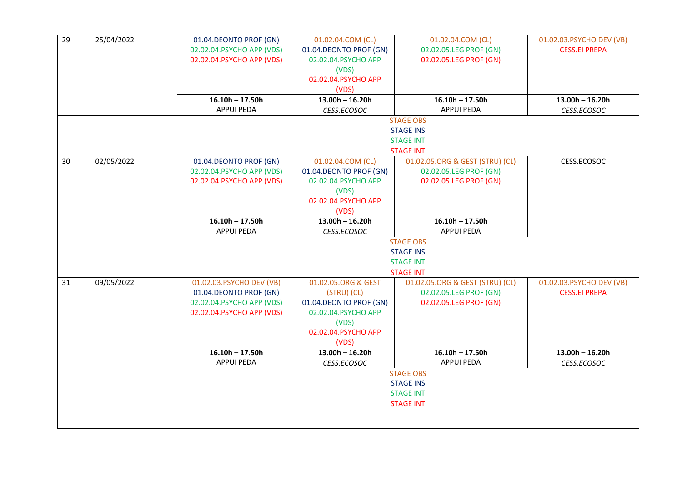| 29 | 25/04/2022       | 01.04.DEONTO PROF (GN)     | 01.02.04.COM (CL)      | 01.02.04.COM (CL)                                   | 01.02.03. PSYCHO DEV (VB) |  |
|----|------------------|----------------------------|------------------------|-----------------------------------------------------|---------------------------|--|
|    |                  | 02.02.04. PSYCHO APP (VDS) | 01.04.DEONTO PROF (GN) | 02.02.05.LEG PROF (GN)                              | <b>CESS.EI PREPA</b>      |  |
|    |                  | 02.02.04. PSYCHO APP (VDS) | 02.02.04.PSYCHO APP    | 02.02.05.LEG PROF (GN)                              |                           |  |
|    |                  |                            | (VDS)                  |                                                     |                           |  |
|    |                  |                            | 02.02.04.PSYCHO APP    |                                                     |                           |  |
|    |                  |                            | (VDS)                  |                                                     |                           |  |
|    |                  | $16.10h - 17.50h$          | $13.00h - 16.20h$      | $16.10h - 17.50h$                                   | $13.00h - 16.20h$         |  |
|    |                  | <b>APPUI PEDA</b>          | CESS.ECOSOC            | <b>APPUI PEDA</b>                                   | CESS.ECOSOC               |  |
|    |                  |                            |                        | <b>STAGE OBS</b>                                    |                           |  |
|    |                  |                            |                        | <b>STAGE INS</b>                                    |                           |  |
|    |                  |                            |                        | <b>STAGE INT</b>                                    |                           |  |
|    |                  |                            |                        | <b>STAGE INT</b>                                    |                           |  |
| 30 | 02/05/2022       | 01.04.DEONTO PROF (GN)     | 01.02.04.COM (CL)      | 01.02.05.ORG & GEST (STRU) (CL)                     | CESS.ECOSOC               |  |
|    |                  | 02.02.04.PSYCHO APP (VDS)  | 01.04.DEONTO PROF (GN) | 02.02.05.LEG PROF (GN)                              |                           |  |
|    |                  | 02.02.04.PSYCHO APP (VDS)  | 02.02.04.PSYCHO APP    | 02.02.05.LEG PROF (GN)                              |                           |  |
|    |                  |                            | (VDS)                  |                                                     |                           |  |
|    |                  |                            | 02.02.04.PSYCHO APP    |                                                     |                           |  |
|    |                  |                            | (VDS)                  |                                                     |                           |  |
|    |                  | $16.10h - 17.50h$          | $13.00h - 16.20h$      | $16.10h - 17.50h$                                   |                           |  |
|    |                  | <b>APPUI PEDA</b>          | CESS.ECOSOC            | <b>APPUI PEDA</b>                                   |                           |  |
|    |                  | <b>STAGE OBS</b>           |                        |                                                     |                           |  |
|    | <b>STAGE INS</b> |                            |                        |                                                     |                           |  |
|    |                  |                            |                        | <b>STAGE INT</b>                                    |                           |  |
| 31 | 09/05/2022       | 01.02.03.PSYCHO DEV (VB)   | 01.02.05.ORG & GEST    | <b>STAGE INT</b><br>01.02.05.ORG & GEST (STRU) (CL) | 01.02.03.PSYCHO DEV (VB)  |  |
|    |                  | 01.04.DEONTO PROF (GN)     | (STRU) (CL)            | 02.02.05.LEG PROF (GN)                              | <b>CESS.EI PREPA</b>      |  |
|    |                  | 02.02.04. PSYCHO APP (VDS) | 01.04.DEONTO PROF (GN) | 02.02.05.LEG PROF (GN)                              |                           |  |
|    |                  | 02.02.04.PSYCHO APP (VDS)  | 02.02.04.PSYCHO APP    |                                                     |                           |  |
|    |                  |                            | (VDS)                  |                                                     |                           |  |
|    |                  |                            | 02.02.04.PSYCHO APP    |                                                     |                           |  |
|    |                  |                            | (VDS)                  |                                                     |                           |  |
|    |                  | $16.10h - 17.50h$          | $13.00h - 16.20h$      | $16.10h - 17.50h$                                   | $13.00h - 16.20h$         |  |
|    |                  | <b>APPUI PEDA</b>          | CESS.ECOSOC            | <b>APPUI PEDA</b>                                   | CESS.ECOSOC               |  |
|    |                  |                            |                        | <b>STAGE OBS</b>                                    |                           |  |
|    |                  |                            |                        | <b>STAGE INS</b>                                    |                           |  |
|    |                  |                            |                        | <b>STAGE INT</b>                                    |                           |  |
|    |                  | <b>STAGE INT</b>           |                        |                                                     |                           |  |
|    |                  |                            |                        |                                                     |                           |  |
|    |                  |                            |                        |                                                     |                           |  |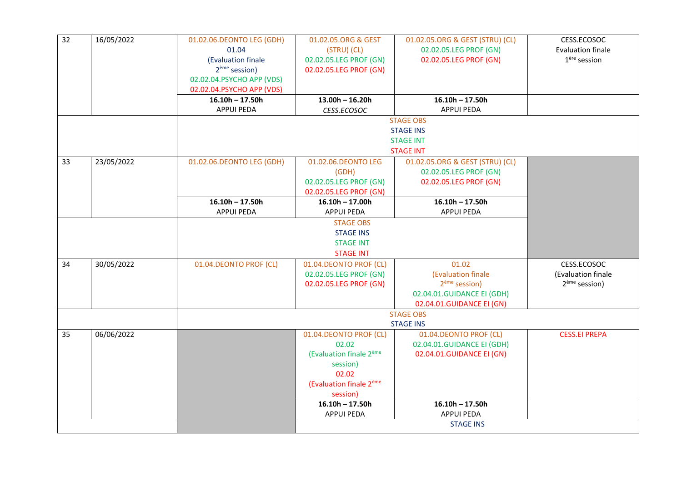| $\overline{32}$ | 16/05/2022 | 01.02.06.DEONTO LEG (GDH)<br>01.04<br>(Evaluation finale<br>2 <sup>ème</sup> session)<br>02.02.04.PSYCHO APP (VDS) | 01.02.05.ORG & GEST<br>(STRU) (CL)<br>02.02.05.LEG PROF (GN)<br>02.02.05.LEG PROF (GN)                                                         | 01.02.05.ORG & GEST (STRU) (CL)<br>02.02.05.LEG PROF (GN)<br>02.02.05.LEG PROF (GN)                                 | CESS.ECOSOC<br><b>Evaluation finale</b><br>1 <sup>ère</sup> session |
|-----------------|------------|--------------------------------------------------------------------------------------------------------------------|------------------------------------------------------------------------------------------------------------------------------------------------|---------------------------------------------------------------------------------------------------------------------|---------------------------------------------------------------------|
|                 |            | 02.02.04.PSYCHO APP (VDS)                                                                                          |                                                                                                                                                |                                                                                                                     |                                                                     |
|                 |            | $16.10h - 17.50h$                                                                                                  | $13.00h - 16.20h$                                                                                                                              | $16.10h - 17.50h$                                                                                                   |                                                                     |
|                 |            | <b>APPUI PEDA</b>                                                                                                  | CESS.ECOSOC                                                                                                                                    | <b>APPUI PEDA</b>                                                                                                   |                                                                     |
|                 |            |                                                                                                                    |                                                                                                                                                | <b>STAGE OBS</b><br><b>STAGE INS</b><br><b>STAGE INT</b>                                                            |                                                                     |
|                 |            |                                                                                                                    |                                                                                                                                                | <b>STAGE INT</b>                                                                                                    |                                                                     |
| 33              | 23/05/2022 | 01.02.06.DEONTO LEG (GDH)                                                                                          | 01.02.06.DEONTO LEG<br>(GDH)<br>02.02.05.LEG PROF (GN)<br>02.02.05.LEG PROF (GN)                                                               | 01.02.05.ORG & GEST (STRU) (CL)<br>02.02.05.LEG PROF (GN)<br>02.02.05.LEG PROF (GN)                                 |                                                                     |
|                 |            | $16.10h - 17.50h$                                                                                                  | $16.10h - 17.00h$                                                                                                                              | $16.10h - 17.50h$                                                                                                   |                                                                     |
|                 |            | <b>APPUI PEDA</b>                                                                                                  | <b>APPUI PEDA</b>                                                                                                                              | <b>APPUI PEDA</b>                                                                                                   |                                                                     |
|                 |            |                                                                                                                    | <b>STAGE OBS</b><br><b>STAGE INS</b><br><b>STAGE INT</b><br><b>STAGE INT</b>                                                                   |                                                                                                                     |                                                                     |
| 34              | 30/05/2022 | 01.04.DEONTO PROF (CL)                                                                                             | 01.04.DEONTO PROF (CL)<br>02.02.05.LEG PROF (GN)<br>02.02.05.LEG PROF (GN)                                                                     | 01.02<br>(Evaluation finale<br>2 <sup>ème</sup> session)<br>02.04.01.GUIDANCE EI (GDH)<br>02.04.01.GUIDANCE EI (GN) | CESS.ECOSOC<br>(Evaluation finale<br>2 <sup>ème</sup> session)      |
|                 |            |                                                                                                                    |                                                                                                                                                | <b>STAGE OBS</b>                                                                                                    |                                                                     |
|                 |            |                                                                                                                    |                                                                                                                                                | <b>STAGE INS</b>                                                                                                    |                                                                     |
| 35              | 06/06/2022 |                                                                                                                    | 01.04.DEONTO PROF (CL)<br>02.02<br>(Evaluation finale 2 <sup>ème</sup><br>session)<br>02.02<br>(Evaluation finale 2 <sup>ème</sup><br>session) | 01.04.DEONTO PROF (CL)<br>02.04.01.GUIDANCE EI (GDH)<br>02.04.01.GUIDANCE EI (GN)                                   | <b>CESS.EI PREPA</b>                                                |
|                 |            |                                                                                                                    | $16.10h - 17.50h$                                                                                                                              | $16.10h - 17.50h$                                                                                                   |                                                                     |
|                 |            |                                                                                                                    | <b>APPUI PEDA</b>                                                                                                                              | <b>APPUI PEDA</b>                                                                                                   |                                                                     |
|                 |            |                                                                                                                    |                                                                                                                                                | <b>STAGE INS</b>                                                                                                    |                                                                     |